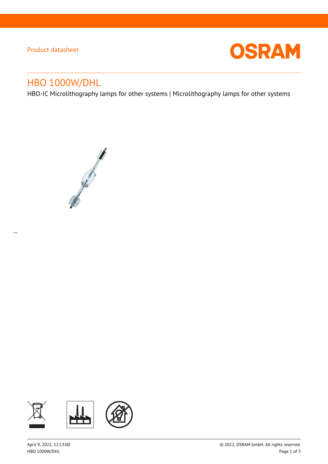# Product datasheet

 $\overline{a}$ 



# HBO 1000W/DHL

HBO-IC Microlithography lamps for other systems | Microlithography lamps for other systems



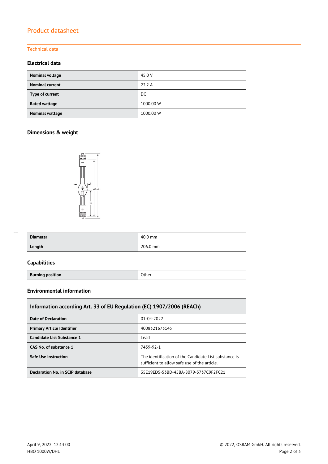# Product datasheet

### Technical data

### **Electrical data**

| <b>Nominal voltage</b> | 45.0 V    |
|------------------------|-----------|
| <b>Nominal current</b> | 22.2 A    |
| Type of current        | DC        |
| Rated wattage          | 1000.00 W |
| Nominal wattage        | 1000.00 W |

### **Dimensions & weight**



| <b>Diameter</b> | $40.0$ mm |
|-----------------|-----------|
| Length          | 206.0 mm  |

### **Capabilities**

 $\overline{a}$ 

**Burning position Burning position** 

#### **Environmental information**

### **Information according Art. 33 of EU Regulation (EC) 1907/2006 (REACh)**

| Date of Declaration               | $01 - 04 - 2022$                                                                                      |  |
|-----------------------------------|-------------------------------------------------------------------------------------------------------|--|
| <b>Primary Article Identifier</b> | 4008321673145                                                                                         |  |
| Candidate List Substance 1        | Lead                                                                                                  |  |
| CAS No. of substance 1            | 7439-92-1                                                                                             |  |
| <b>Safe Use Instruction</b>       | The identification of the Candidate List substance is<br>sufficient to allow safe use of the article. |  |
| Declaration No. in SCIP database  | 35E19ED5-53BD-45BA-8079-3737C9F2FC21                                                                  |  |